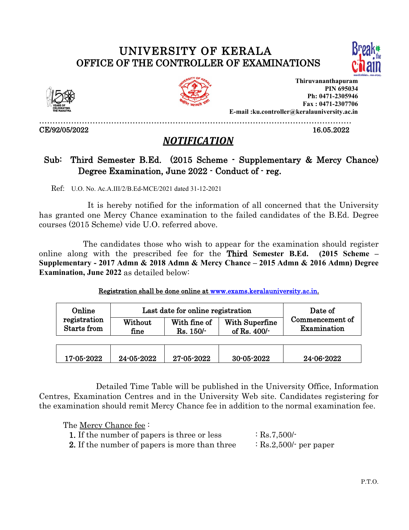# UNIVERSITY OF KERALA OFFICE OF THE CONTROLLER OF EXAMINATIONS





CE/92/05/2022 16.05.2022



**Thiruvananthapuram PIN 695034 Ph: 0471-2305946 Fax : 0471-2307706 E-mail :ku.controller@keralauniversity.ac.in**

………………………………………………………………………………………………………

# *NOTIFICATION*

## Sub: Third Semester B.Ed. (2015 Scheme - Supplementary & Mercy Chance) Degree Examination, June 2022 - Conduct of - reg.

Ref: U.O. No. Ac.A.III/2/B.Ed-MCE/2021 dated 31-12-2021

It is hereby notified for the information of all concerned that the University has granted one Mercy Chance examination to the failed candidates of the B.Ed. Degree  $course (2015 Scheme)$  vide U.O. referred above.

The candidates those who wish to appear for the examination should register online along with the prescribed fee for the Third **Semester B.Ed. (2015 Scheme – Supplementary - 2017 Admn & 2018 Admn & Mercy Chance – 2015 Admn & 2016 Admn) Degree Examination, June 2022** as detailed below:

Registration shall be done online at [www.exams.keralauniversity.ac.in](http://www.exams.keralauniversity.ac.in).

| Online<br>registration<br>Starts from | Last date for online registration<br>With Superfine<br>With fine of<br>Without<br>of Rs. $400/-$<br>Rs. 150/-<br>fine |            | Date of<br>Commencement of<br>Examination |            |
|---------------------------------------|-----------------------------------------------------------------------------------------------------------------------|------------|-------------------------------------------|------------|
| 17-05-2022                            | 24-05-2022                                                                                                            | 27-05-2022 | 30-05-2022                                | 24-06-2022 |

Detailed Time Table will be published in the University Office, Information Centres, Examination Centres and in the University Web site. Candidates registering for the examination should remit Mercy Chance fee in addition to the normal examination fee.

The Mercy Chance fee :

| <b>1.</b> If the number of papers is three or less | $\therefore$ Rs.7,500/-           |  |
|----------------------------------------------------|-----------------------------------|--|
| 2. If the number of papers is more than three      | $\therefore$ Rs.2,500/- per paper |  |